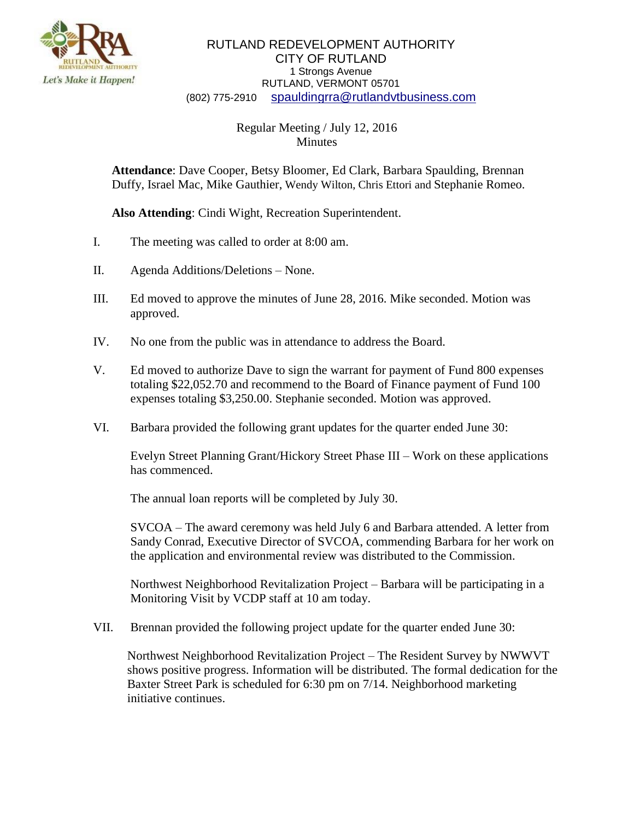

## RUTLAND REDEVELOPMENT AUTHORITY CITY OF RUTLAND 1 Strongs Avenue RUTLAND, VERMONT 05701 (802) 775-2910 [spauldingrra@rutlandvtbusiness.com](mailto:allenrra@rutlandvtbusiness.com)

## Regular Meeting / July 12, 2016 Minutes

**Attendance**: Dave Cooper, Betsy Bloomer, Ed Clark, Barbara Spaulding, Brennan Duffy, Israel Mac, Mike Gauthier, Wendy Wilton, Chris Ettori and Stephanie Romeo.

**Also Attending**: Cindi Wight, Recreation Superintendent.

- I. The meeting was called to order at 8:00 am.
- II. Agenda Additions/Deletions None.
- III. Ed moved to approve the minutes of June 28, 2016. Mike seconded. Motion was approved.
- IV. No one from the public was in attendance to address the Board.
- V. Ed moved to authorize Dave to sign the warrant for payment of Fund 800 expenses totaling \$22,052.70 and recommend to the Board of Finance payment of Fund 100 expenses totaling \$3,250.00. Stephanie seconded. Motion was approved.
- VI. Barbara provided the following grant updates for the quarter ended June 30:

Evelyn Street Planning Grant/Hickory Street Phase III – Work on these applications has commenced.

The annual loan reports will be completed by July 30.

SVCOA – The award ceremony was held July 6 and Barbara attended. A letter from Sandy Conrad, Executive Director of SVCOA, commending Barbara for her work on the application and environmental review was distributed to the Commission.

Northwest Neighborhood Revitalization Project – Barbara will be participating in a Monitoring Visit by VCDP staff at 10 am today.

VII. Brennan provided the following project update for the quarter ended June 30:

Northwest Neighborhood Revitalization Project – The Resident Survey by NWWVT shows positive progress. Information will be distributed. The formal dedication for the Baxter Street Park is scheduled for 6:30 pm on 7/14. Neighborhood marketing initiative continues.